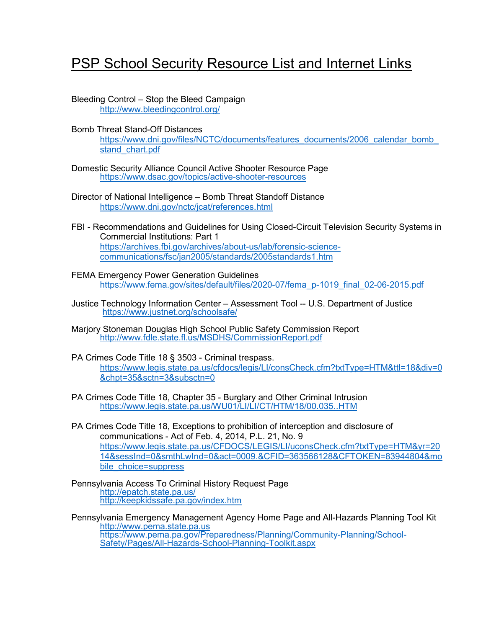## **PSP School Security Resource List and Internet Links**

- Bleeding Control Stop the Bleed Campaign <http://www.bleedingcontrol.org/>
- Bomb Threat Stand-Off Distances https://www.dni.gov/files/NCTC/documents/features\_documents/2006\_calendar\_bomb stand chart.pdf
- Domestic Security Alliance Council Active Shooter Resource Page <https://www.dsac.gov/topics/active-shooter-resources>
- Director of National Intelligence Bomb Threat Standoff Distance <https://www.dni.gov/nctc/jcat/references.html>
- FBI Recommendations and Guidelines for Using Closed-Circuit Television Security Systems in Commercial Institutions: Part 1 [https://archives.fbi.gov/archives/about-us/lab/forensic-science](https://archives.fbi.gov/archives/about-us/lab/forensic-science-communications/fsc/jan2005/standards/2005standards1.htm)[communications/fsc/jan2005/standards/2005standards1.htm](https://archives.fbi.gov/archives/about-us/lab/forensic-science-communications/fsc/jan2005/standards/2005standards1.htm)
- FEMA Emergency Power Generation Guidelines [https://www.fema.gov/sites/default/files/2020-07/fema\\_p-1019\\_final\\_02-06-2015.pdf](https://www.fema.gov/sites/default/files/2020-07/fema_p-1019_final_02-06-2015.pdf)
- Justice Technology Information Center Assessment Tool -- U.S. Department of Justice <https://www.justnet.org/schoolsafe/>
- Marjory Stoneman Douglas High School Public Safety Commission Report <http://www.fdle.state.fl.us/MSDHS/CommissionReport.pdf>
- PA Crimes Code Title 18 § 3503 Criminal trespass. [https://www.legis.state.pa.us/cfdocs/legis/LI/consCheck.cfm?txtType=HTM&ttl=18&div=0](https://www.legis.state.pa.us/cfdocs/legis/LI/consCheck.cfm?txtType=HTM&ttl=18&div=0&chpt=35&sctn=3&subsctn=0) [&chpt=35&sctn=3&subsctn=0](https://www.legis.state.pa.us/cfdocs/legis/LI/consCheck.cfm?txtType=HTM&ttl=18&div=0&chpt=35&sctn=3&subsctn=0)
- PA Crimes Code Title 18, Chapter 35 Burglary and Other Criminal Intrusion <https://www.legis.state.pa.us/WU01/LI/LI/CT/HTM/18/00.035..HTM>
- PA Crimes Code Title 18, Exceptions to prohibition of interception and disclosure of communications - Act of Feb. 4, 2014, P.L. 21, No. 9 [https://www.legis.state.pa.us/CFDOCS/LEGIS/LI/uconsCheck.cfm?txtType=HTM&yr=20](https://www.legis.state.pa.us/CFDOCS/LEGIS/LI/uconsCheck.cfm?txtType=HTM&yr=2014&sessInd=0&smthLwInd=0&act=0009.&CFID=363566128&CFTOKEN=83944804&mobile_choice=suppress) [14&sessInd=0&smthLwInd=0&act=0009.&CFID=363566128&CFTOKEN=83944804&mo](https://www.legis.state.pa.us/CFDOCS/LEGIS/LI/uconsCheck.cfm?txtType=HTM&yr=2014&sessInd=0&smthLwInd=0&act=0009.&CFID=363566128&CFTOKEN=83944804&mobile_choice=suppress) [bile\\_choice=suppress](https://www.legis.state.pa.us/CFDOCS/LEGIS/LI/uconsCheck.cfm?txtType=HTM&yr=2014&sessInd=0&smthLwInd=0&act=0009.&CFID=363566128&CFTOKEN=83944804&mobile_choice=suppress)
- Pennsylvania Access To Criminal History Request Page <http://epatch.state.pa.us/> <http://keepkidssafe.pa.gov/index.htm>
- Pennsylvania Emergency Management Agency Home Page and All-Hazards Planning Tool Kit [http://www.pema.state.pa.us](http://www.pema.state.pa.us/) [https://www.pema.pa.gov/Preparedness/Planning/Community-Planning/School-](https://www.pema.pa.gov/Preparedness/Planning/Community-Planning/School-Safety/Pages/All-Hazards-School-Planning-Toolkit.aspx) [Safety/Pages/All-Hazards-School-Planning-Toolkit.aspx](https://www.pema.pa.gov/Preparedness/Planning/Community-Planning/School-Safety/Pages/All-Hazards-School-Planning-Toolkit.aspx)